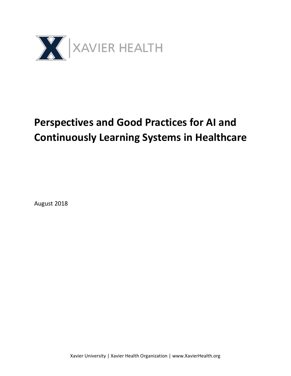

# **Perspectives and Good Practices for AI and Continuously Learning Systems in Healthcare**

August 2018

Xavier University | Xavier Health Organization | www.XavierHealth.org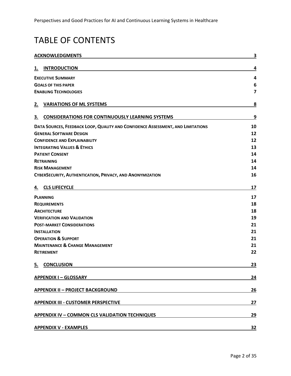## TABLE OF CONTENTS

| <b>ACKNOWLEDGMENTS</b>   |                                                                                 |           |
|--------------------------|---------------------------------------------------------------------------------|-----------|
| <u>1.</u>                | <b>INTRODUCTION</b>                                                             | 4         |
| <b>EXECUTIVE SUMMARY</b> |                                                                                 |           |
|                          | <b>GOALS OF THIS PAPER</b>                                                      | 6         |
|                          | <b>ENABLING TECHNOLOGIES</b>                                                    | 7         |
| 2.                       | <b>VARIATIONS OF ML SYSTEMS</b>                                                 | 8         |
| 3.                       | <b>CONSIDERATIONS FOR CONTINUOUSLY LEARNING SYSTEMS</b>                         | 9         |
|                          | DATA SOURCES, FEEDBACK LOOP, QUALITY AND CONFIDENCE ASSESSMENT, AND LIMITATIONS | 10        |
|                          | <b>GENERAL SOFTWARE DESIGN</b>                                                  | 12        |
|                          | <b>CONFIDENCE AND EXPLAINABILITY</b>                                            | 12        |
|                          | <b>INTEGRATING VALUES &amp; ETHICS</b>                                          | 13        |
|                          | <b>PATIENT CONSENT</b>                                                          | 14        |
|                          | <b>RETRAINING</b>                                                               | 14        |
|                          | <b>RISK MANAGEMENT</b>                                                          | 14        |
|                          | CYBERSECURITY, AUTHENTICATION, PRIVACY, AND ANONYMIZATION                       | 16        |
| <u>4.</u>                | <b>CLS LIFECYCLE</b>                                                            | 17        |
|                          | <b>PLANNING</b>                                                                 | 17        |
|                          | <b>REQUIREMENTS</b>                                                             | 18        |
|                          | <b>ARCHITECTURE</b>                                                             | 18        |
|                          | <b>VERIFICATION AND VALIDATION</b>                                              | 19        |
|                          | <b>POST-MARKET CONSIDERATIONS</b>                                               | 21        |
|                          | <b>INSTALLATION</b>                                                             | 21        |
|                          | <b>OPERATION &amp; SUPPORT</b>                                                  | 21        |
|                          | <b>MAINTENANCE &amp; CHANGE MANAGEMENT</b>                                      | 21        |
|                          | <b>RETIREMENT</b>                                                               | 22        |
| 5.                       | <b>CONCLUSION</b>                                                               | 23        |
|                          | <b>APPENDIX I - GLOSSARY</b>                                                    | 24        |
|                          | <b>APPENDIX II - PROJECT BACKGROUND</b>                                         | 26        |
|                          | <b>APPENDIX III - CUSTOMER PERSPECTIVE</b>                                      | 27        |
|                          | <b>APPENDIX IV - COMMON CLS VALIDATION TECHNIQUES</b>                           | 29        |
|                          | <b>APPENDIX V - EXAMPLES</b>                                                    | <u>32</u> |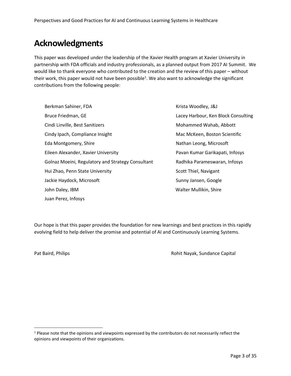## **Acknowledgments**

This paper was developed under the leadership of the Xavier Health program at Xavier University in partnership with FDA officials and industry professionals, as a planned output from 2017 AI Summit. We would like to thank everyone who contributed to the creation and the review of this paper – without their work, this paper would not have been possible<sup>1</sup>. We also want to acknowledge the significant contributions from the following people:

Berkman Sahiner, FDA Bruce Friedman, GE Cindi Linville, Best Sanitizers Cindy Ipach, Compliance Insight Eda Montgomery, Shire Eileen Alexander, Xavier University Golnaz Moeini, Regulatory and Strategy Consultant Hui Zhao, Penn State University Jackie Haydock, Microsoft John Daley, IBM Juan Perez, Infosys

Krista Woodley, J&J Lacey Harbour, Ken Block Consulting Mohammed Wahab, Abbott Mac McKeen, Boston Scientific Nathan Leong, Microsoft Pavan Kumar Garikapati, Infosys Radhika Parameswaran, Infosys Scott Thiel, Navigant Sunny Jansen, Google Walter Mullikin, Shire

Our hope is that this paper provides the foundation for new learnings and best practices in this rapidly evolving field to help deliver the promise and potential of AI and Continuously Learning Systems.

 $\overline{a}$ 

Pat Baird, Philips **Pat Baird, Philips Rohit Nayak, Sundance Capital** 

 $1$  Please note that the opinions and viewpoints expressed by the contributors do not necessarily reflect the opinions and viewpoints of their organizations.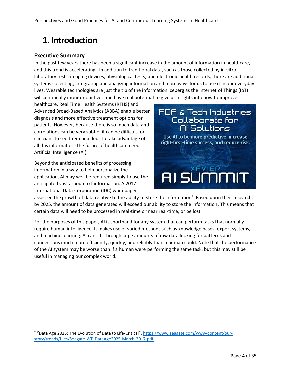## **1. Introduction**

## **Executive Summary**

 $\overline{a}$ 

In the past few years there has been a significant increase in the amount of information in healthcare, and this trend is accelerating. In addition to traditional data, such as those collected by in-vitro laboratory tests, imaging devices, physiological tests, and electronic health records, there are additional systems collecting, integrating and analyzing information and more ways for us to use it in our everyday lives. Wearable technologies are just the tip of the information iceberg as the Internet of Things (IoT) will continually monitor our lives and have real potential to give us insights into how to improve

healthcare. Real Time Health Systems (RTHS) and Advanced Broad-Based Analytics (ABBA) enable better diagnosis and more effective treatment options for patients. However, because there is so much data and correlations can be very subtle, it can be difficult for clinicians to see them unaided. To take advantage of all this information, the future of healthcare needs Artificial Intelligence (AI).

Beyond the anticipated benefits of processing information in a way to help personalize the application, AI may well be required simply to use the anticipated vast amount o f information. A 2017 International Data Corporation (IDC) whitepaper



assessed the growth of data relative to the ability to store the information<sup>2</sup>. Based upon their research, by 2025, the amount of data generated will exceed our ability to store the information. This means that certain data will need to be processed in real-time or near real-time, or be lost.

For the purposes of this paper, AI is shorthand for any system that can perform tasks that normally require human intelligence. It makes use of varied methods such as knowledge bases, expert systems, and machine learning. AI can sift through large amounts of raw data looking for patterns and connections much more efficiently, quickly, and reliably than a human could. Note that the performance of the AI system may be worse than if a human were performing the same task, but this may still be useful in managing our complex world.

<sup>2</sup> "Data Age 2025: The Evolution of Data to Life-Critical", [https://www.seagate.com/www-content/our](https://www.seagate.com/www-content/our-story/trends/files/Seagate-WP-DataAge2025-March-2017.pdf)[story/trends/files/Seagate-WP-DataAge2025-March-2017.pdf](https://www.seagate.com/www-content/our-story/trends/files/Seagate-WP-DataAge2025-March-2017.pdf)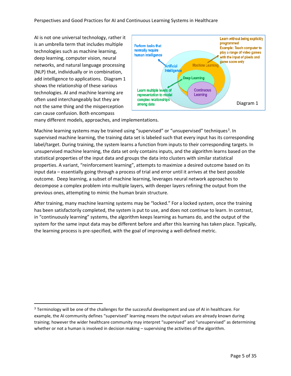AI is not one universal technology, rather it is an umbrella term that includes multiple technologies such as machine learning, deep learning, computer vision, neural networks, and natural language processing (NLP) that, individually or in combination, add intelligence to applications. Diagram 1 shows the relationship of these various technologies. AI and machine learning are often used interchangeably but they are not the same thing and the misperception can cause confusion. Both encompass

l



many different models, approaches, and implementations.

Machine learning systems may be trained using "supervised" or "unsupervised" techniques<sup>3</sup>. In supervised machine learning, the training data set is labeled such that every input has its corresponding label/target. During training, the system learns a function from inputs to their corresponding targets. In unsupervised machine learning, the data set only contains inputs, and the algorithm learns based on the statistical properties of the input data and groups the data into clusters with similar statistical properties. A variant, "reinforcement learning", attempts to maximize a desired outcome based on its input data – essentially going through a process of trial and error until it arrives at the best possible outcome. Deep learning, a subset of machine learning, leverages neural network approaches to decompose a complex problem into multiple layers, with deeper layers refining the output from the previous ones, attempting to mimic the human brain structure.

After training, many machine learning systems may be "locked." For a locked system, once the training has been satisfactorily completed, the system is put to use, and does not continue to learn. In contrast, in "continuously learning" systems, the algorithm keeps learning as humans do, and the output of the system for the same input data may be different before and after this learning has taken place. Typically, the learning process is pre-specified, with the goal of improving a well-defined metric.

<sup>&</sup>lt;sup>3</sup> Terminology will be one of the challenges for the successful development and use of AI in healthcare. For example, the AI community defines "supervised" learning means the output values are already known during training; however the wider healthcare community may interpret "supervised" and "unsupervised" as determining whether or not a human is involved in decision making – supervising the activities of the algorithm.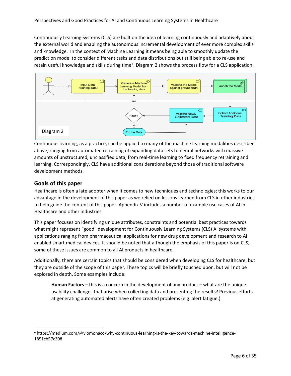Continuously Learning Systems (CLS) are built on the idea of learning continuously and adaptively about the external world and enabling the autonomous incremental development of ever more complex skills and knowledge. In the context of Machine Learning it means being able to smoothly update the prediction model to consider different tasks and data distributions but still being able to re-use and retain useful knowledge and skills during time<sup>4</sup>. Diagram 2 shows the process flow for a CLS application.



Continuous learning, as a practice, can be applied to many of the machine learning modalities described above, ranging from automated retraining of expanding data sets to neural networks with massive amounts of unstructured, unclassified data, from real-time learning to fixed frequency retraining and learning. Correspondingly, CLS have additional considerations beyond those of traditional software development methods.

## **Goals of this paper**

 $\overline{a}$ 

Healthcare is often a late adopter when it comes to new techniques and technologies; this works to our advantage in the development of this paper as we relied on lessons learned from CLS in other industries to help guide the content of this paper. Appendix V includes a number of example use cases of AI in Healthcare and other industries.

This paper focuses on identifying unique attributes, constraints and potential best practices towards what might represent "good" development for Continuously Learning Systems (CLS) AI systems with applications ranging from pharmaceutical applications for new drug development and research to AI enabled smart medical devices. It should be noted that although the emphasis of this paper is on CLS, some of these issues are common to all AI products in healthcare.

Additionally, there are certain topics that should be considered when developing CLS for healthcare, but they are outside of the scope of this paper. These topics will be briefly touched upon, but will not be explored in depth. Some examples include:

**Human Factors** – this is a concern in the development of any product – what are the unique usability challenges that arise when collecting data and presenting the results? Previous efforts at generating automated alerts have often created problems (e.g. alert fatigue.)

<sup>4</sup> [https://medium.com/@vlomonaco/why-continuous-learning-is-the-key-towards-machine-intelligence-](https://medium.com/@vlomonaco/why-continuous-learning-is-the-key-towards-machine-intelligence-1851cb57c308)[1851cb57c308](https://medium.com/@vlomonaco/why-continuous-learning-is-the-key-towards-machine-intelligence-1851cb57c308)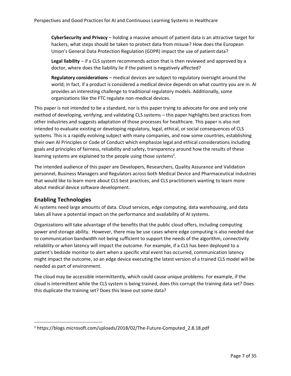**CyberSecurity and Privacy** – holding a massive amount of patient data is an attractive target for hackers, what steps should be taken to protect data from misuse? How does the European Union's General Data Protection Regulation (GDPR) impact the use of patient data?

**Legal liability** – if a CLS system recommends action that is then reviewed and approved by a doctor, where does the liability lie if the patient is negatively affected?

**Regulatory considerations** – medical devices are subject to regulatory oversight around the world; in fact, if a product is considered a medical device depends on what country you are in. AI provides an interesting challenge to traditional regulatory models. Additionally, some organizations like the FTC regulate non-medical devices.

This paper is not intended to be a standard, nor is this paper trying to advocate for one and only one method of developing, verifying, and validating CLS systems – this paper highlights best practices from other industries and suggests adaptation of those processes for healthcare. This paper is also not intended to evaluate existing or developing regulatory, legal, ethical, or social consequences of CLS systems. This is a rapidly evolving subject with many companies, and now some countries, establishing their own AI Principles or Code of Conduct which emphasize legal and ethical considerations including goals and principles of fairness, reliability and safety, transparency around how the results of these learning systems are explained to the people using those systems<sup>5</sup>.

The intended audience of this paper are Developers, Researchers, Quality Assurance and Validation personnel, Business Managers and Regulators across both Medical Device and Pharmaceutical industries that would like to learn more about CLS best practices, and CLS practitioners wanting to learn more about medical device software development.

## **Enabling Technologies**

 $\overline{a}$ 

AI systems need large amounts of data. Cloud services, edge computing, data warehousing, and data lakes all have a potential impact on the performance and availability of AI systems.

Organizations will take advantage of the benefits that the public cloud offers, including computing power and storage ability. However, there may be use cases where edge computing is also needed due to communication bandwidth not being sufficient to support the needs of the algorithm, connectivity reliability or when latency will impact the outcome. For example, if a CLS has been deployed to a patient's bedside monitor to alert when a specific vital event has occurred, communication latency might impact the outcome, so an edge device executing the latest version of a trained CLS model will be needed as part of environment.

The cloud may be accessible intermittently, which could cause unique problems. For example, if the cloud is intermittent while the CLS system is being trained, does this corrupt the training data set? Does this duplicate the training set? Does this leave out some data?

<sup>5</sup> https://blogs.microsoft.com/uploads/2018/02/The-Future-Computed\_2.8.18.pdf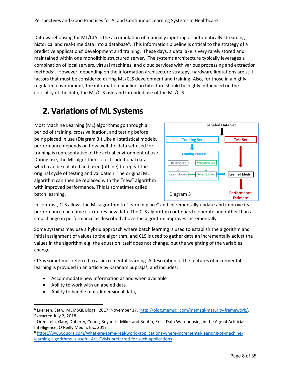Data warehousing for ML/CLS is the accumulation of manually inputting or automatically streaming historical and real-time data into a database<sup>6</sup>. This information pipeline is critical to the strategy of a predictive applications' development and training. These days, a data lake is very rarely stored and maintained within one monolithic structured server. The systems architecture typically leverages a combination of local servers, virtual machines, and cloud services with various processing and extraction methods<sup>7</sup> . However, depending on the information architecture strategy, hardware limitations are still factors that must be considered during ML/CLS development and training. Also, for those in a highly regulated environment, the information pipeline architecture should be highly influenced on the criticality of the data, the ML/CLS risk, and intended use of the ML/CLS.

## **2.Variations of ML Systems**

Most Machine Learning (ML) algorithms go through a period of training, cross validation, and testing before being placed in use (Diagram 3.) Like all statistical models, performance depends on how well the data set used for training is representative of the actual environment of use. During use, the ML algorithm collects additional data, which can be collated and used (offline) to repeat the original cycle of testing and validation. The original ML algorithm can then be replaced with the "new" algorithm with improved performance. This is sometimes called batch learning.



In contrast, CLS allows the ML algorithm to "learn in place" and incrementally update and improve its performance each time it acquires new data. The CLS algorithm continues to operate and rather than a step change in performance as described above the algorithm improves incrementally.

Some systems may use a hybrid approach where batch learning is used to establish the algorithm and initial assignment of values to the algorithm, and CLS is used to gather data an incrementally adjust the values in the algorithm e.g. the equation itself does not change, but the weighting of the variables change.

CLS is sometimes referred to as incremental learning. A description of the features of incremental learning is provided in an article by Karanam Supraja<sup>8</sup>, and includes:

- Accommodate new information as and when available
- Ability to work with unlabeled data

l

• Ability to handle multidimensional data,

<sup>6</sup> Luersen, Seth. MEMSQL Blogs. 2017, November 17. [http://blog.memsql.com/memsql-maturity-framework/.](http://blog.memsql.com/memsql-maturity-framework/)  Extracted July 2, 2018

<sup>7</sup> Orenstein, Gary; Doherty, Conor; Boyarski, Mike; and Boutin, Eric. Data Warehousing in the Age of Artificial Intelligence. O'Reilly Media, Inc. 2017

<sup>8</sup> [https://www.quora.com/What-are-some-real-world-applications-where-incremental-learning-of-machine](https://www.quora.com/What-are-some-real-world-applications-where-incremental-learning-of-machine-learning-algorithms-is-useful-Are-SVMs-preferred-for-such-applications)[learning-algorithms-is-useful-Are-SVMs-preferred-for-such-applications](https://www.quora.com/What-are-some-real-world-applications-where-incremental-learning-of-machine-learning-algorithms-is-useful-Are-SVMs-preferred-for-such-applications)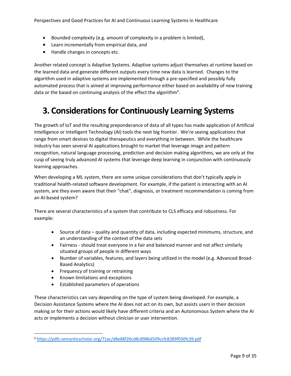- Bounded complexity (e.g. amount of complexity in a problem is limited),
- Learn incrementally from empirical data, and
- Handle changes in concepts etc.

Another related concept is Adaptive Systems. Adaptive systems adjust themselves at runtime based on the learned data and generate different outputs every time new data is learned. Changes to the algorithm used in adaptive systems are implemented through a pre-specified and possibly fully automated process that is aimed at improving performance either based on availability of new training data or the based on continuing analysis of the effect the algorithm<sup>9</sup>.

## **3. Considerations for Continuously Learning Systems**

The growth of IoT and the resulting preponderance of data of all types has made application of Artificial Intelligence or Intelligent Technology (AI) tools the next big frontier. We're seeing applications that range from smart devices to digital therapeutics and everything in between. While the healthcare industry has seen several AI applications brought to market that leverage image and pattern recognition, natural language processing, prediction and decision making algorithms, we are only at the cusp of seeing truly advanced AI systems that leverage deep learning in conjunction with continuously learning approaches.

When developing a ML system, there are some unique considerations that don't typically apply in traditional health-related software development. For example, if the patient is interacting with an AI system, are they even aware that their "chat", diagnosis, or treatment recommendation is coming from an AI-based system?

There are several characteristics of a system that contribute to CLS efficacy and robustness. For example:

- Source of data quality and quantity of data, including expected minimums, structure, and an understanding of the context of the data sets
- Fairness should treat everyone in a fair and balanced manner and not affect similarly situated groups of people in different ways
- Number of variables, features, and layers being utilized in the model (e.g. Advanced Broad-Based Analytics)
- Frequency of training or retraining
- Known limitations and exceptions

l

• Established parameters of operations

These characteristics can vary depending on the type of system being developed. For example, a Decision Assistance Systems where the AI does not act on its own, but assists users in their decision making or for their actions would likely have different criteria and an Autonomous System where the AI acts or implements a decision without clinician or user intervention.

<sup>9</sup> <https://pdfs.semanticscholar.org/71ac/d8e88f26cd8c8986d509ccfc8389f030fc39.pdf>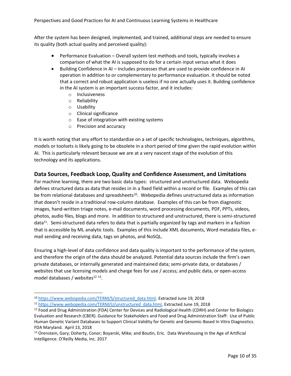After the system has been designed, implemented, and trained, additional steps are needed to ensure its quality (both actual quality and perceived quality):

- Performance Evaluation Overall system test methods and tools, typically involves a comparison of what the AI is supposed to do for a certain input versus what it does
- Building Confidence in AI Includes processes that are used to provide confidence in AI operation in addition to or complementary to performance evaluation. It should be noted that a correct and robust application is useless if no one actually uses it. Building confidence in the AI system is an important success factor, and it includes:
	- o Inclusiveness
	- o Reliability
	- o Usability

 $\overline{\phantom{0}}$ 

- o Clinical significance
- o Ease of integration with existing systems
- o Precision and accuracy

It is worth noting that any effort to standardize on a set of specific technologies, techniques, algorithms, models or toolsets is likely going to be obsolete in a short period of time given the rapid evolution within AI. This is particularly relevant because we are at a very nascent stage of the evolution of this technology and its applications.

## **Data Sources, Feedback Loop, Quality and Confidence Assessment, and Limitations**

For machine learning, there are two basic data types: structured and unstructured data. Webopedia defines structured data as data that resides in in a fixed field within a record or file. Examples of this can be from relational databases and spreadsheets<sup>10</sup>. Webopedia defines unstructured data as information that doesn't reside in a traditional row-column database. Examples of this can be from diagnostic images, hand-written triage notes, e-mail documents, word processing documents, PDF, PPTs, videos, photos, audio files, blogs and more. In addition to structured and unstructured, there is semi-structured data<sup>11</sup>. Semi-structured data refers to data that is partially organized by tags and markers in a fashion that is accessible by ML analytic tools. Examples of this include XML documents, Word metadata files, email sending and receiving data, tags on photos, and NoSQL.

Ensuring a high-level of data confidence and data quality is important to the performance of the system, and therefore the origin of the data should be analyzed. Potential data sources include the firm's own private databases, or internally generated and maintained data; semi-private data, or databases / websites that use licensing models and charge fees for use / access; and public data, or open-access model databases / websites<sup>12 13</sup>.

<sup>10</sup> [https://www.webopedia.com/TERM/S/structured\\_data.html.](https://www.webopedia.com/TERM/S/structured_data.html) Extracted June 19, 2018

<sup>11</sup> [https://www.webopedia.com/TERM/U/unstructured\\_data.html.](https://www.webopedia.com/TERM/U/unstructured_data.html) Extracted June 19, 2018

<sup>&</sup>lt;sup>12</sup> Food and Drug Administration (FDA) Center for Devices and Radiological Health (CDRH) and Center for Biologics Evaluation and Research (CBER). Guidance for Stakeholders and Food and Drug Administration Staff: Use of Public Human Genetic Variant Databases to Support Clinical Validity for Genetic and Genomic-Based In Vitro Diagnostics. FDA Maryland. April 13, 2018

<sup>13</sup> Orenstein, Gary; Doherty, Conor; Boyarski, Mike; and Boutin, Eric. Data Warehousing in the Age of Artificial Intelligence. O'Reilly Media, Inc. 2017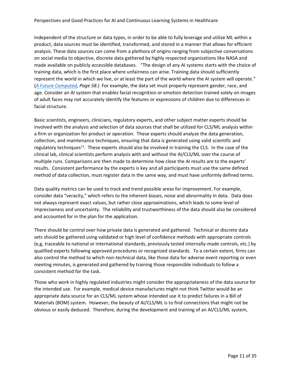Independent of the structure or data types, in order to be able to fully leverage and utilize ML within a product, data sources must be identified, transformed, and stored in a manner that allows for efficient analysis. These data sources can come from a plethora of origins ranging from subjective conversations on social media to objective, discrete data gathered by highly respected organizations like NASA and made available on publicly accessible databases. "The design of any AI systems starts with the choice of training data, which is the first place where unfairness can arise. Training data should sufficiently represent the world in which we live, or at least the part of the world where the AI system will operate." (*[A Future Computed,](https://blogs.microsoft.com/uploads/2018/02/The-Future-Computed_2.8.18.pdf) Page 58.*) For example, the data set must properly represent gender, race, and age. Consider an AI system that enables facial recognition or emotion detection trained solely on images of adult faces may not accurately identify the features or expressions of children due to differences in facial structure.

Basic scientists, engineers, clinicians, regulatory experts, and other subject matter experts should be involved with the analysis and selection of data sources that shall be utilized for CLS/ML analysis within a firm or organization for product or operation. These experts should analyze the data generation, collection, and maintenance techniques, ensuring that data is generated using valid scientific and regulatory techniques<sup>11</sup>. These experts should also be involved in training the CLS. In the case of the clinical lab, clinical scientists perform analysis with and without the AI/CLS/ML over the course of multiple runs. Comparisons are then made to determine how close the AI results are to the experts' results. Consistent performance by the experts is key and all participants must use the same defined method of data collection, must register data in the same way, and must have uniformly defined terms.

Data quality metrics can be used to track and trend possible areas for improvement. For example, consider data "veracity," which refers to the inherent biases, noise and abnormality in data. Data does not always represent exact values, but rather close approximations, which leads to some level of impreciseness and uncertainty. The reliability and trustworthiness of the data should also be considered and accounted for in the plan for the application.

There should be control over how private data is generated and gathered. Technical or discrete data sets should be gathered using validated or high level of confidence methods with appropriate controls (e,g, traceable to national or international standards, previously tested internally-made controls, etc.) by qualified experts following approved procedures or recognized standards. To a certain extent, firms can also control the method to which non-technical data, like those data for adverse event reporting or even meeting minutes, is generated and gathered by training those responsible individuals to follow a consistent method for the task.

Those who work in highly regulated industries might consider the appropriateness of the data source for the intended use. For example, medical device manufactures might not think Twitter would be an appropriate data source for an CLS/ML system whose intended use it to predict failures in a Bill of Materials (BOM) system. However, the beauty of AI/CLS/ML is to find connections that might not be obvious or easily deduced. Therefore, during the development and training of an AI/CLS/ML system,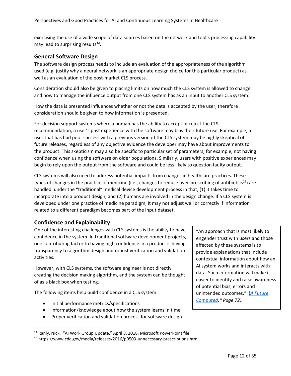exercising the use of a wide scope of data sources based on the network and tool's processing capability may lead to surprising results $^{14}$ .

## **General Software Design**

The software design process needs to include an evaluation of the appropriateness of the algorithm used (e.g. justify why a neural network is an appropriate design choice for this particular product) as well as an evaluation of the post-market CLS process.

Consideration should also be given to placing limits on how much the CLS system is allowed to change and how to manage the influence output from one CLS system has as an input to another CLS system.

How the data is presented influences whether or not the data is accepted by the user, therefore consideration should be given to how information is presented.

For decision support systems where a human has the ability to accept or reject the CLS recommendation, a user's past experience with the software may bias their future use. For example, a user that has had poor success with a previous version of the CLS system may be highly skeptical of future releases, regardless of any objective evidence the developer may have about improvements to the product. This skepticism may also be specific to particular set of parameters, for example, not having confidence when using the software on older populations. Similarly, users with positive experiences may begin to rely upon the output from the software and could be less likely to question faulty output.

CLS systems will also need to address potential impacts from changes in healthcare practices. These types of changes in the practice of medicine (i.e., changes to reduce over-prescribing of antibiotics<sup>15</sup>) are handled under the "traditional" medical device development process in that, (1) it takes time to incorporate into a product design, and (2) humans are involved in the design change. If a CLS system is developed under one practice of medicine paradigm, it may not adjust well or correctly if information related to a different paradigm becomes part of the input dataset.

## **Confidence and Explainability**

 $\overline{a}$ 

One of the interesting challenges with CLS systems is the ability to have confidence in the system. In traditional software development projects, one contributing factor to having high confidence in a product is having transparency to algorithm design and robust verification and validation activities.

However, with CLS systems, the software engineer is not directly creating the decision making algorithm, and the system can be thought of as a black box when testing.

The following items help build confidence in a CLS system:

- Initial performance metrics/specifications
- Information/knowledge about how the system learns in time
- Proper verification and validation process for software design

"An approach that is most likely to engender trust with users and those affected by these systems is to provide explanations that include contextual information about how an AI system works and interacts with data. Such information will make it easier to identify and raise awareness of potential bias, errors and unintended outcomes." (*A Future Computed,* <sup>4</sup> *Page 72).* 

<sup>&</sup>lt;sup>14</sup> Ranly, Nick. "AI Work Group Update." April 3, 2018, Microsoft PowerPoint file

<sup>15</sup> https://www.cdc.gov/media/releases/2016/p0503-unnecessary-prescriptions.html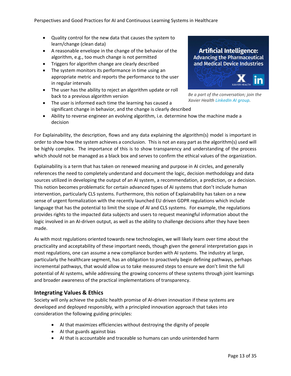- Quality control for the new data that causes the system to learn/change (clean data)
- A reasonable envelope in the change of the behavior of the algorithm, e.g., too much change is not permitted
- Triggers for algorithm change are clearly described
- The system monitors its performance in time using an appropriate metric and reports the performance to the user in regular intervals
- The user has the ability to reject an algorithm update or roll back to a previous algorithm version
- The user is informed each time the learning has caused a significant change in behavior, and the change is clearly described

## **Artificial Intelligence: Advancing the Pharmaceutical** and Medical Device Industries



*Be a part of the conversation; join the Xavier Health LinkedIn AI group.*

• Ability to reverse engineer an evolving algorithm, i.e. determine how the machine made a decision

For Explainability, the description, flows and any data explaining the algorithm(s) model is important in order to show how the system achieves a conclusion. This is not an easy part as the algorithm(s) used will be highly complex. The importance of this is to show transparency and understanding of the process which should not be managed as a black box and serves to confirm the ethical values of the organization.

Explainability is a term that has taken on renewed meaning and purpose in AI circles, and generally references the need to completely understand and document the logic, decision methodology and data sources utilized in developing the output of an AI system, a recommendation, a prediction, or a decision. This notion becomes problematic for certain advanced types of AI systems that don't include human intervention, particularly CLS systems. Furthermore, this notion of Explainability has taken on a new sense of urgent formalization with the recently launched EU driven GDPR regulations which include language that has the potential to limit the scope of AI and CLS systems. For example, the regulations provides rights to the impacted data subjects and users to request meaningful information about the logic involved in an AI-driven output, as well as the ability to challenge decisions after they have been made.

As with most regulations oriented towards new technologies, we will likely learn over time about the practicality and acceptability of these important needs, though given the general interpretation gaps in most regulations, one can assume a new compliance burden with AI systems. The industry at large, particularly the healthcare segment, has an obligation to proactively begin defining pathways, perhaps incremental pathways, that would allow us to take measured steps to ensure we don't limit the full potential of AI systems, while addressing the growing concerns of these systems through joint learnings and broader awareness of the practical implementations of transparency.

## **Integrating Values & Ethics**

Society will only achieve the public health promise of AI-driven innovation if these systems are developed and deployed responsibly, with a principled innovation approach that takes into consideration the following guiding principles:

- AI that maximizes efficiencies without destroying the dignity of people
- AI that guards against bias
- AI that is accountable and traceable so humans can undo unintended harm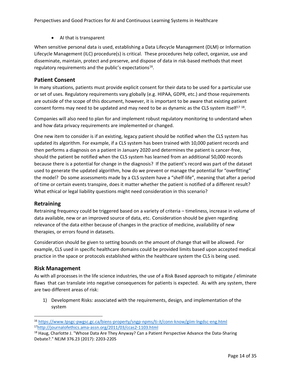• AI that is transparent

When sensitive personal data is used, establishing a Data Lifecycle Management (DLM) or Information Lifecycle Management (ILC) procedure(s) is critical. These procedures help collect, organize, use and disseminate, maintain, protect and preserve, and dispose of data in risk-based methods that meet regulatory requirements and the public's expectations<sup>16</sup>.

## **Patient Consent**

In many situations, patients must provide explicit consent for their data to be used for a particular use or set of uses. Regulatory requirements vary globally (e.g. HIPAA, GDPR, etc.) and those requirements are outside of the scope of this document, however, it is important to be aware that existing patient consent forms may need to be updated and may need to be as dynamic as the CLS system itself<sup>17 18</sup>.

Companies will also need to plan for and implement robust regulatory monitoring to understand when and how data privacy requirements are implemented or changed.

One new item to consider is if an existing, legacy patient should be notified when the CLS system has updated its algorithm. For example, if a CLS system has been trained with 10,000 patient records and then performs a diagnosis on a patient in January 2020 and determines the patient is cancer-free, should the patient be notified when the CLS system has learned from an additional 50,000 records because there is a potential for change in the diagnosis? If the patient's record was part of the dataset used to generate the updated algorithm, how do we prevent or manage the potential for "overfitting" the model? Do some assessments made by a CLS system have a "shelf-life", meaning that after a period of time or certain events transpire, does it matter whether the patient is notified of a different result? What ethical or legal liability questions might need consideration in this scenario?

### **Retraining**

Retraining frequency could be triggered based on a variety of criteria – timeliness, increase in volume of data available, new or an improved source of data, etc. Consideration should be given regarding relevance of the data either because of changes in the practice of medicine, availability of new therapies, or errors found in datasets.

Consideration should be given to setting bounds on the amount of change that will be allowed. For example, CLS used in specific healthcare domains could be provided limits based upon accepted medical practice in the space or protocols established within the healthcare system the CLS is being used.

### **Risk Management**

 $\overline{a}$ 

As with all processes in the life science industries, the use of a Risk Based approach to mitigate / eliminate flaws that can translate into negative consequences for patients is expected. As with any system, there are two different areas of risk:

1) Development Risks: associated with the requirements, design, and implementation of the system

<sup>16</sup> <https://www.tpsgc-pwgsc.gc.ca/biens-property/sngp-npms/ti-it/conn-know/giim-lngdsc-eng.html> <sup>17</sup><http://journalofethics.ama-assn.org/2011/03/ccas2-1103.html>

<sup>&</sup>lt;sup>18</sup> Haug, Charlotte J. "Whose Data Are They Anyway? Can a Patient Perspective Advance the Data-Sharing Debate?." NEJM 376.23 (2017): 2203-2205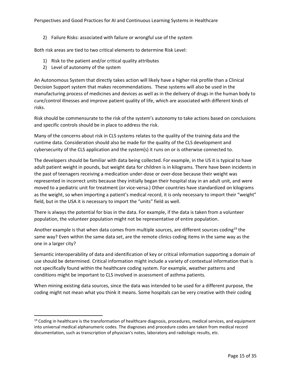2) Failure Risks: associated with failure or wrongful use of the system

Both risk areas are tied to two critical elements to determine Risk Level:

- 1) Risk to the patient and/or critical quality attributes
- 2) Level of autonomy of the system

l

An Autonomous System that directly takes action will likely have a higher risk profile than a Clinical Decision Support system that makes recommendations. These systems will also be used in the manufacturing process of medicines and devices as well as in the delivery of drugs in the human body to cure/control illnesses and improve patient quality of life, which are associated with different kinds of risks.

Risk should be commensurate to the risk of the system's autonomy to take actions based on conclusions and specific controls should be in place to address the risk.

Many of the concerns about risk in CLS systems relates to the quality of the training data and the runtime data. Consideration should also be made for the quality of the CLS development and cybersecurity of the CLS application and the system(s) it runs on or is otherwise connected to.

The developers should be familiar with data being collected. For example, in the US it is typical to have adult patient weight in pounds, but weight data for children is in kilograms. There have been incidents in the past of teenagers receiving a medication under-dose or over-dose because their weight was represented in incorrect units because they initially began their hospital stay in an adult unit, and were moved to a pediatric unit for treatment (or vice-versa.) Other countries have standardized on kilograms as the weight, so when importing a patient's medical record, it is only necessary to import their "weight" field, but in the USA it is necessary to import the "units" field as well.

There is always the potential for bias in the data. For example, if the data is taken from a volunteer population, the volunteer population might not be representative of entire population.

Another example is that when data comes from multiple sources, are different sources coding<sup>19</sup> the same way? Even within the same data set, are the remote clinics coding items in the same way as the one in a larger city?

Semantic interoperability of data and identification of key or critical information supporting a domain of use should be determined. Critical information might include a variety of contextual information that is not specifically found within the healthcare coding system. For example, weather patterns and conditions might be important to CLS involved in assessment of asthma patients.

When mining existing data sources, since the data was intended to be used for a different purpose, the coding might not mean what you think it means. Some hospitals can be very creative with their coding

<sup>&</sup>lt;sup>19</sup> Coding in healthcare is the transformation of healthcare diagnosis, procedures, medical services, and equipment into universal medical alphanumeric codes. The diagnoses and procedure codes are taken from medical record documentation, such as transcription of physician's notes, laboratory and radiologic results, etc.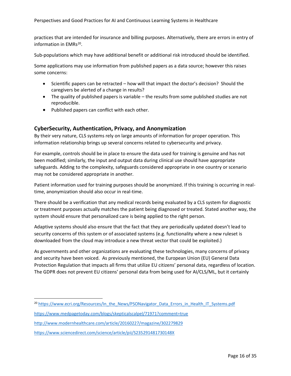practices that are intended for insurance and billing purposes. Alternatively, there are errors in entry of information in EMRs<sup>20</sup>.

Sub-populations which may have additional benefit or additional risk introduced should be identified.

Some applications may use information from published papers as a data source; however this raises some concerns:

- Scientific papers can be retracted how will that impact the doctor's decision? Should the caregivers be alerted of a change in results?
- The quality of published papers is variable the results from some published studies are not reproducible.
- Published papers can conflict with each other.

### **CyberSecurity, Authentication, Privacy, and Anonymization**

By their very nature, CLS systems rely on large amounts of information for proper operation. This information relationship brings up several concerns related to cybersecurity and privacy.

For example, controls should be in place to ensure the data used for training is genuine and has not been modified; similarly, the input and output data during clinical use should have appropriate safeguards. Adding to the complexity, safeguards considered appropriate in one country or scenario may not be considered appropriate in another.

Patient information used for training purposes should be anonymized. If this training is occurring in realtime, anonymization should also occur in real-time.

There should be a verification that any medical records being evaluated by a CLS system for diagnostic or treatment purposes actually matches the patient being diagnosed or treated. Stated another way, the system should ensure that personalized care is being applied to the right person.

Adaptive systems should also ensure that the fact that they are periodically updated doesn't lead to security concerns of this system or of associated systems (e.g. functionality where a new ruleset is downloaded from the cloud may introduce a new threat vector that could be exploited.)

As governments and other organizations are evaluating these technologies, many concerns of privacy and security have been voiced. As previously mentioned, the European Union (EU) General Data Protection Regulation that impacts all firms that utilize EU citizens' personal data, regardless of location. The GDPR does not prevent EU citizens' personal data from being used for AI/CLS/ML, but it certainly

 $\overline{a}$ 

<sup>&</sup>lt;sup>20</sup> [https://www.ecri.org/Resources/In\\_the\\_News/PSONavigator\\_Data\\_Errors\\_in\\_Health\\_IT\\_Systems.pdf](https://www.ecri.org/Resources/In_the_News/PSONavigator_Data_Errors_in_Health_IT_Systems.pdf)

<https://www.medpagetoday.com/blogs/skepticalscalpel/71971?comment=true>

<http://www.modernhealthcare.com/article/20160227/magazine/302279829>

<https://www.sciencedirect.com/science/article/pii/S235291481730148X>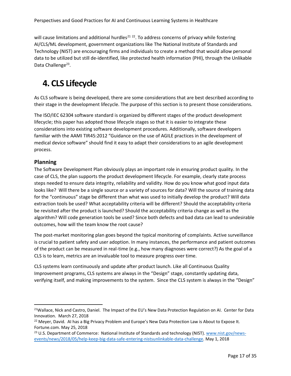will cause limitations and additional hurdles<sup>21</sup>  $^{22}$ . To address concerns of privacy while fostering AI/CLS/ML development, government organizations like The National Institute of Standards and Technology (NIST) are encouraging firms and individuals to create a method that would allow personal data to be utilized but still de-identified, like protected health information (PHI), through the Unlikable Data Challenge<sup>23</sup>.

## **4. CLS Lifecycle**

As CLS software is being developed, there are some considerations that are best described according to their stage in the development lifecycle. The purpose of this section is to present those considerations.

The ISO/IEC 62304 software standard is organized by different stages of the product development lifecycle; this paper has adopted those lifecycle stages so that it is easier to integrate these considerations into existing software development procedures. Additionally, software developers familiar with the AAMI TIR45:2012 "Guidance on the use of AGILE practices in the development of medical device software" should find it easy to adapt their considerations to an agile development process.

## **Planning**

l

The Software Development Plan obviously plays an important role in ensuring product quality. In the case of CLS, the plan supports the product development lifecycle. For example, clearly state process steps needed to ensure data integrity, reliability and validity. How do you know what good input data looks like? Will there be a single source or a variety of sources for data? Will the source of training data for the "continuous" stage be different than what was used to initially develop the product? Will data extraction tools be used? What acceptability criteria will be different? Should the acceptability criteria be revisited after the product is launched? Should the acceptability criteria change as well as the algorithm? Will code generation tools be used? Since both defects and bad data can lead to undesirable outcomes, how will the team know the root cause?

The post-market monitoring plan goes beyond the typical monitoring of complaints. Active surveillance is crucial to patient safety and user adoption. In many instances, the performance and patient outcomes of the product can be measured in real-time (e.g., how many diagnoses were correct?) As the goal of a CLS is to learn, metrics are an invaluable tool to measure progress over time.

CLS systems learn continuously and update after product launch. Like all Continuous Quality Improvement programs, CLS systems are always in the "Design" stage, constantly updating data, verifying itself, and making improvements to the system. Since the CLS system is always in the "Design"

<sup>&</sup>lt;sup>21</sup>Wallace, Nick and Castro, Daniel. The Impact of the EU's New Data Protection Regulation on AI. Center for Data Innovation. March 27, 2018

<sup>&</sup>lt;sup>22</sup> Meyer, David. AI has a Big Privacy Problem and Europe's New Data Protection Law is About to Expose It. Fortune.com. May 25, 2018

<sup>&</sup>lt;sup>23</sup> U.S. Department of Commerce: National Institute of Standards and technology (NIST). [www.nist.gov/news](http://www.nist.gov/news-events/news/2018/05/help-keep-big-data-safe-entering-nistsunlinkable-data-challenge)[events/news/2018/05/help-keep-big-data-safe-entering-nistsunlinkable-data-challenge.](http://www.nist.gov/news-events/news/2018/05/help-keep-big-data-safe-entering-nistsunlinkable-data-challenge) May 1, 2018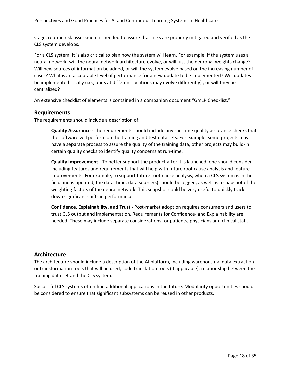stage, routine risk assessment is needed to assure that risks are properly mitigated and verified as the CLS system develops.

For a CLS system, it is also critical to plan how the system will learn. For example, if the system uses a neural network, will the neural network architecture evolve, or will just the neuronal weights change? Will new sources of information be added, or will the system evolve based on the increasing number of cases? What is an acceptable level of performance for a new update to be implemented? Will updates be implemented locally (i.e., units at different locations may evolve differently) , or will they be centralized?

An extensive checklist of elements is contained in a companion document "GmLP Checklist."

### **Requirements**

The requirements should include a description of:

**Quality Assurance -** The requirements should include any run-time quality assurance checks that the software will perform on the training and test data sets. For example, some projects may have a separate process to assure the quality of the training data, other projects may build-in certain quality checks to identify quality concerns at run-time.

**Quality Improvement -** To better support the product after it is launched, one should consider including features and requirements that will help with future root cause analysis and feature improvements. For example, to support future root-cause analysis, when a CLS system is in the field and is updated, the data, time, data source(s) should be logged, as well as a snapshot of the weighting factors of the neural network. This snapshot could be very useful to quickly track down significant shifts in performance.

**Confidence, Explainability, and Trust -** Post-market adoption requires consumers and users to trust CLS output and implementation. Requirements for Confidence- and Explainability are needed. These may include separate considerations for patients, physicians and clinical staff.

### **Architecture**

The architecture should include a description of the AI platform, including warehousing, data extraction or transformation tools that will be used, code translation tools (if applicable), relationship between the training data set and the CLS system.

Successful CLS systems often find additional applications in the future. Modularity opportunities should be considered to ensure that significant subsystems can be reused in other products.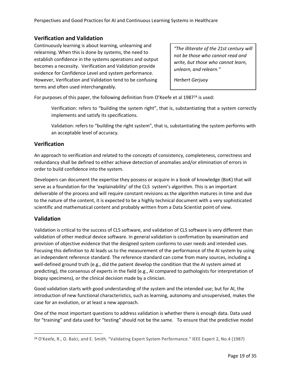Perspectives and Good Practices for AI and Continuous Learning Systems in Healthcare

## **Verification and Validation**

Continuously learning is about learning, unlearning and relearning. When this is done by systems, the need to establish confidence in the systems operations and output becomes a necessity. Verification and Validation provide evidence for Confidence Level and system performance. However, Verification and Validation tend to be confusing terms and often used interchangeably.

*"The illiterate of the 21st century will not be those who cannot read and write, but those who cannot learn, unlearn, and relearn."*

*Herbert Gerjuoy*

For purposes of this paper, the following definition from O'Keefe et al  $1987<sup>24</sup>$  is used:

Verification: refers to "building the system right", that is, substantiating that a system correctly implements and satisfy its specifications.

Validation: refers to "building the right system", that is, substantiating the system performs with an acceptable level of accuracy.

### **Verification**

An approach to verification and related to the concepts of consistency, completeness, correctness and redundancy shall be defined to either achieve detection of anomalies and/or elimination of errors in order to build confidence into the system.

Developers can document the expertise they possess or acquire in a book of knowledge (BoK) that will serve as a foundation for the 'explainability' of the CLS system's algorithm. This is an important deliverable of the process and will require constant revisions as the algorithm matures in time and due to the nature of the content, it is expected to be a highly technical document with a very sophisticated scientific and mathematical content and probably written from a Data Scientist point of view.

## **Validation**

l

Validation is critical to the success of CLS software, and validation of CLS software is very different than validation of other medical device software. In general validation is confirmation by examination and provision of objective evidence that the designed system conforms to user needs and intended uses. Focusing this definition to AI leads us to the measurement of the performance of the AI system by using an independent reference standard. The reference standard can come from many sources, including a well-defined ground truth (e.g., did the patient develop the condition that the AI system aimed at predicting), the consensus of experts in the field (e.g., AI compared to pathologists for interpretation of biopsy specimens), or the clinical decision made by a clinician.

Good validation starts with good understanding of the system and the intended use; but for AI, the introduction of new functional characteristics, such as learning, autonomy and unsupervised, makes the case for an evolution, or at least a new approach.

One of the most important questions to address validation is whether there is enough data. Data used for "training" and data used for "testing" should not be the same. To ensure that the predictive model

<sup>&</sup>lt;sup>24</sup> O'Keefe, R., O. Balci, and E. Smith. "Validating Expert System Performance." IEEE Expert 2, No.4 (1987)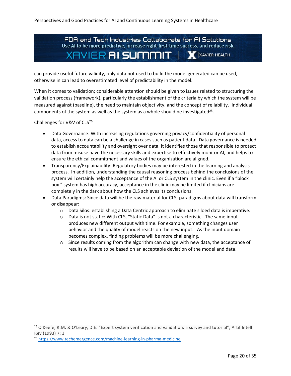FDA and Tech Industries Collaborate for AI Solutions Use AI to be more predictive, increase right-first-time success, and reduce risk. XAVIER **AI SUMMIT** | X XAVIER HEALTH

can provide useful future validity, only data not used to build the model generated can be used, otherwise in can lead to overestimated level of predictability in the model.

When it comes to validation; considerable attention should be given to issues related to structuring the validation process (framework), particularly the establishment of the criteria by which the system will be measured against (baseline), the need to maintain objectivity, and the concept of reliability. Individual components of the system as well as the system as a whole should be investigated<sup>25</sup>.

Challenges for V&V of CLS<sup>26</sup>

 $\overline{a}$ 

- Data Governance: With increasing regulations governing privacy/confidentiality of personal data, access to data can be a challenge in cases such as patient data. Data governance is needed to establish accountability and oversight over data. It identifies those that responsible to protect data from misuse have the necessary skills and expertise to effectively monitor AI, and helps to ensure the ethical commitment and values of the organization are aligned.
- Transparency/Explainability: Regulatory bodies may be interested in the learning and analysis process. In addition, understanding the causal reasoning process behind the conclusions of the system will certainly help the acceptance of the AI or CLS system in the clinic. Even if a "block box " system has high accuracy, acceptance in the clinic may be limited if clinicians are completely in the dark about how the CLS achieves its conclusions.
- Data Paradigms: Since data will be the raw material for CLS, paradigms about data will transform or disappear:
	- $\circ$  Data Silos: establishing a Data Centric approach to eliminate siloed data is imperative.
	- $\circ$  Data is not static: With CLS, "Static Data" is not a characteristic. The same input produces new different output with time. For example, something changes user behavior and the quality of model reacts on the new input. As the input domain becomes complex, finding problems will be more challenging.
	- o Since results coming from the algorithm can change with new data, the acceptance of results will have to be based on an acceptable deviation of the model and data.

<sup>25</sup> O'Keefe, R.M. & O'Leary, D.E. "Expert system verification and validation: a survey and tutorial", Artif Intell Rev (1993) 7: 3

<sup>26</sup> <https://www.techemergence.com/machine-learning-in-pharma-medicine>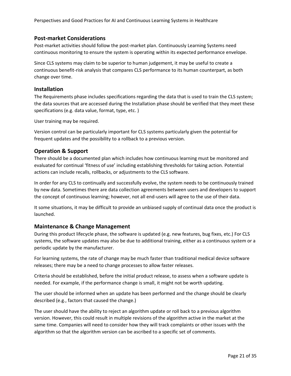## **Post-market Considerations**

Post-market activities should follow the post-market plan. Continuously Learning Systems need continuous monitoring to ensure the system is operating within its expected performance envelope.

Since CLS systems may claim to be superior to human judgement, it may be useful to create a continuous benefit-risk analysis that compares CLS performance to its human counterpart, as both change over time.

### **Installation**

The Requirements phase includes specifications regarding the data that is used to train the CLS system; the data sources that are accessed during the Installation phase should be verified that they meet these specifications (e.g. data value, format, type, etc. )

User training may be required.

Version control can be particularly important for CLS systems particularly given the potential for frequent updates and the possibility to a rollback to a previous version.

## **Operation & Support**

There should be a documented plan which includes how continuous learning must be monitored and evaluated for continual 'fitness of use' including establishing thresholds for taking action. Potential actions can include recalls, rollbacks, or adjustments to the CLS software.

In order for any CLS to continually and successfully evolve, the system needs to be continuously trained by new data. Sometimes there are data collection agreements between users and developers to support the concept of continuous learning; however, not all end-users will agree to the use of their data.

It some situations, it may be difficult to provide an unbiased supply of continual data once the product is launched.

### **Maintenance & Change Management**

During this product lifecycle phase, the software is updated (e.g. new features, bug fixes, etc.) For CLS systems, the software updates may also be due to additional training, either as a continuous system or a periodic update by the manufacturer.

For learning systems, the rate of change may be much faster than traditional medical device software releases; there may be a need to change processes to allow faster releases.

Criteria should be established, before the initial product release, to assess when a software update is needed. For example, if the performance change is small, it might not be worth updating.

The user should be informed when an update has been performed and the change should be clearly described (e.g., factors that caused the change.)

The user should have the ability to reject an algorithm update or roll back to a previous algorithm version. However, this could result in multiple revisions of the algorithm active in the market at the same time. Companies will need to consider how they will track complaints or other issues with the algorithm so that the algorithm version can be ascribed to a specific set of comments.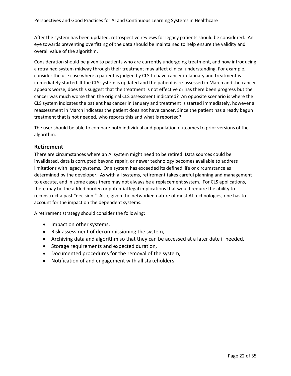After the system has been updated, retrospective reviews for legacy patients should be considered. An eye towards preventing overfitting of the data should be maintained to help ensure the validity and overall value of the algorithm.

Consideration should be given to patients who are currently undergoing treatment, and how introducing a retrained system midway through their treatment may affect clinical understanding. For example, consider the use case where a patient is judged by CLS to have cancer in January and treatment is immediately started. If the CLS system is updated and the patient is re-assessed in March and the cancer appears worse, does this suggest that the treatment is not effective or has there been progress but the cancer was much worse than the original CLS assessment indicated? An opposite scenario is where the CLS system indicates the patient has cancer in January and treatment is started immediately, however a reassessment in March indicates the patient does not have cancer. Since the patient has already begun treatment that is not needed, who reports this and what is reported?

The user should be able to compare both individual and population outcomes to prior versions of the algorithm.

### **Retirement**

There are circumstances where an AI system might need to be retired. Data sources could be invalidated, data is corrupted beyond repair, or newer technology becomes available to address limitations with legacy systems. Or a system has exceeded its defined life or circumstance as determined by the developer. As with all systems, retirement takes careful planning and management to execute, and in some cases there may not always be a replacement system. For CLS applications, there may be the added burden or potential legal implications that would require the ability to reconstruct a past "decision." Also, given the networked nature of most AI technologies, one has to account for the impact on the dependent systems.

A retirement strategy should consider the following:

- Impact on other systems,
- Risk assessment of decommissioning the system,
- Archiving data and algorithm so that they can be accessed at a later date if needed,
- Storage requirements and expected duration,
- Documented procedures for the removal of the system,
- Notification of and engagement with all stakeholders.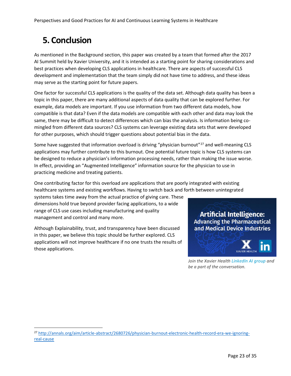## **5. Conclusion**

 $\overline{a}$ 

As mentioned in the Background section, this paper was created by a team that formed after the 2017 AI Summit held by Xavier University, and it is intended as a starting point for sharing considerations and best practices when developing CLS applications in healthcare. There are aspects of successful CLS development and implementation that the team simply did not have time to address, and these ideas may serve as the starting point for future papers.

One factor for successful CLS applications is the quality of the data set. Although data quality has been a topic in this paper, there are many additional aspects of data quality that can be explored further. For example, data models are important. If you use information from two different data models, how compatible is that data? Even if the data models are compatible with each other and data may look the same, there may be difficult to detect differences which can bias the analysis. Is information being comingled from different data sources? CLS systems can leverage existing data sets that were developed for other purposes, which should trigger questions about potential bias in the data.

Some have suggested that information overload is driving "physician burnout"<sup>27</sup> and well-meaning CLS applications may further contribute to this burnout. One potential future topic is how CLS systems can be designed to reduce a physician's information processing needs, rather than making the issue worse. In effect, providing an "Augmented Intelligence" information source for the physician to use in practicing medicine and treating patients.

One contributing factor for this overload are applications that are poorly integrated with existing healthcare systems and existing workflows. Having to switch back and forth between unintegrated

systems takes time away from the actual practice of giving care. These dimensions hold true beyond provider facing applications, to a wide range of CLS use cases including manufacturing and quality management and control and many more.

Although Explainability, trust, and transparency have been discussed in this paper, we believe this topic should be further explored. CLS applications will not improve healthcare if no one trusts the results of those applications.

**Artificial Intelligence: Advancing the Pharmaceutical** and Medical Device Industries



*Join the Xavier Health [LinkedIn AI group](https://www.linkedin.com/groups/12078247) and be a part of the conversation.*

<sup>27</sup> [http://annals.org/aim/article-abstract/2680726/physician-burnout-electronic-health-record-era-we-ignoring](http://annals.org/aim/article-abstract/2680726/physician-burnout-electronic-health-record-era-we-ignoring-real-cause)[real-cause](http://annals.org/aim/article-abstract/2680726/physician-burnout-electronic-health-record-era-we-ignoring-real-cause)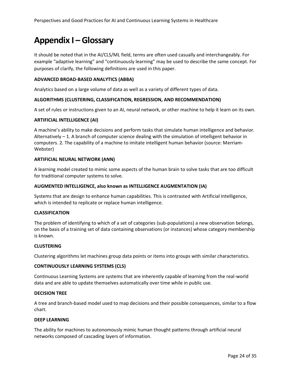## **Appendix I – Glossary**

It should be noted that in the AI/CLS/ML field, terms are often used casually and interchangeably. For example "adaptive learning" and "continuously learning" may be used to describe the same concept. For purposes of clarify, the following definitions are used in this paper.

#### **ADVANCED BROAD-BASED ANALYTICS (ABBA)**

Analytics based on a large volume of data as well as a variety of different types of data.

#### **ALGORITHMS (CLUSTERING, CLASSIFICATION, REGRESSION, AND RECOMMENDATION)**

A set of rules or instructions given to an AI, neural network, or other machine to help it learn on its own.

#### **ARTIFICIAL INTELLIGENCE (AI)**

A machine's ability to make decisions and perform tasks that simulate human intelligence and behavior. Alternatively  $-1$ . A branch of computer science dealing with the simulation of intelligent behavior in computers. 2. The capability of a machine to imitate intelligent human behavior (source: Merriam-Webster)

#### **ARTIFICIAL NEURAL NETWORK (ANN)**

A learning model created to mimic some aspects of the human brain to solve tasks that are too difficult for traditional computer systems to solve.

#### **AUGMENTED INTELLIGENCE, also known as INTELLIGENCE AUGMENTATION (IA)**

Systems that are design to enhance human capabilities. This is contrasted with Artificial Intelligence, which is intended to replicate or replace human intelligence.

#### **CLASSIFICATION**

The problem of identifying to which of a set of categories (sub-populations) a new observation belongs, on the basis of a training set of data containing observations (or instances) whose category membership is known.

#### **CLUSTERING**

Clustering algorithms let machines group data points or items into groups with similar characteristics.

#### **CONTINUOUSLY LEARNING SYSTEMS (CLS)**

Continuous Learning Systems are systems that are inherently capable of learning from the real-world data and are able to update themselves automatically over time while in public use.

#### **DECISION TREE**

A tree and branch-based model used to map decisions and their possible consequences, similar to a flow chart.

#### **DEEP LEARNING**

The ability for machines to autonomously mimic human thought patterns through artificial neural networks composed of cascading layers of information.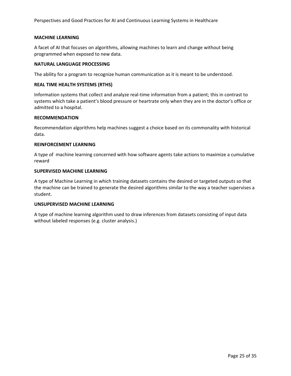Perspectives and Good Practices for AI and Continuous Learning Systems in Healthcare

#### **MACHINE LEARNING**

A facet of AI that focuses on algorithms, allowing machines to learn and change without being programmed when exposed to new data.

#### **NATURAL LANGUAGE PROCESSING**

The ability for a program to recognize human communication as it is meant to be understood.

#### **REAL TIME HEALTH SYSTEMS (RTHS)**

Information systems that collect and analyze real-time information from a patient; this in contrast to systems which take a patient's blood pressure or heartrate only when they are in the doctor's office or admitted to a hospital.

#### **RECOMMENDATION**

Recommendation algorithms help machines suggest a choice based on its commonality with historical data.

#### **REINFORCEMENT LEARNING**

A type of machine learning concerned with how software agents take actions to maximize a cumulative reward

#### **SUPERVISED MACHINE LEARNING**

A type of Machine Learning in which training datasets contains the desired or targeted outputs so that the machine can be trained to generate the desired algorithms similar to the way a teacher supervises a student.

#### **UNSUPERVISED MACHINE LEARNING**

A type of machine learning algorithm used to draw inferences from datasets consisting of input data without labeled responses (e.g. cluster analysis.)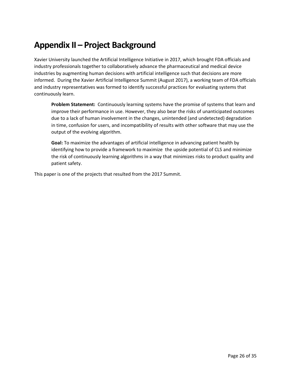## **Appendix II – Project Background**

Xavier University launched the Artificial Intelligence Initiative in 2017, which brought FDA officials and industry professionals together to collaboratively advance the pharmaceutical and medical device industries by augmenting human decisions with artificial intelligence such that decisions are more informed. During the Xavier Artificial Intelligence Summit (August 2017), a working team of FDA officials and industry representatives was formed to identify successful practices for evaluating systems that continuously learn.

**Problem Statement:** Continuously learning systems have the promise of systems that learn and improve their performance in use. However, they also bear the risks of unanticipated outcomes due to a lack of human involvement in the changes, unintended (and undetected) degradation in time, confusion for users, and incompatibility of results with other software that may use the output of the evolving algorithm.

**Goal:** To maximize the advantages of artificial intelligence in advancing patient health by identifying how to provide a framework to maximize the upside potential of CLS and minimize the risk of continuously learning algorithms in a way that minimizes risks to product quality and patient safety.

This paper is one of the projects that resulted from the 2017 Summit.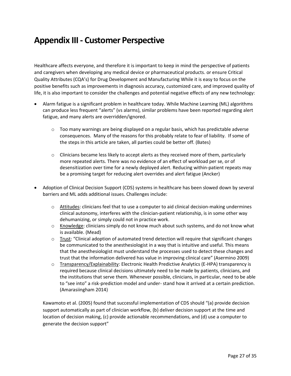## **Appendix III - Customer Perspective**

Healthcare affects everyone, and therefore it is important to keep in mind the perspective of patients and caregivers when developing any medical device or pharmaceutical products. or ensure Critical Quality Attributes (CQA's) for Drug Development and Manufacturing While it is easy to focus on the positive benefits such as improvements in diagnosis accuracy, customized care, and improved quality of life, it is also important to consider the challenges and potential negative effects of any new technology:

- Alarm fatigue is a significant problem in healthcare today. While Machine Learning (ML) algorithms can produce less frequent "alerts" (vs alarms), similar problems have been reported regarding alert fatigue, and many alerts are overridden/ignored.
	- $\circ$  Too many warnings are being displayed on a regular basis, which has predictable adverse consequences. Many of the reasons for this probably relate to fear of liability. If some of the steps in this article are taken, all parties could be better off. (Bates)
	- $\circ$  Clinicians became less likely to accept alerts as they received more of them, particularly more repeated alerts. There was no evidence of an effect of workload per se, or of desensitization over time for a newly deployed alert. Reducing within-patient repeats may be a promising target for reducing alert overrides and alert fatigue (Ancker)
- Adoption of Clinical Decision Support (CDS) systems in healthcare has been slowed down by several barriers and ML adds additional issues. Challenges include:
	- $\circ$  Attitudes: clinicians feel that to use a computer to aid clinical decision-making undermines clinical autonomy, interferes with the clinician-patient relationship, is in some other way dehumanizing, or simply could not in practice work.
	- o Knowledge: clinicians simply do not know much about such systems, and do not know what is available. (Mead)
	- $\circ$  Trust: "Clinical adoption of automated trend detection will require that significant changes be communicated to the anesthesiologist in a way that is intuitive and useful. This means that the anesthesiologist must understand the processes used to detect these changes and trust that the information delivered has value in improving clinical care" (Asermino 2009)
	- $\circ$  Transparency/Explainability: Electronic Health Predictive Analytics (E-HPA) transparency is required because clinical decisions ultimately need to be made by patients, clinicians, and the institutions that serve them. Whenever possible, clinicians, in particular, need to be able to "see into" a risk-prediction model and under- stand how it arrived at a certain prediction. (Amarasiingham 2014)

Kawamoto et al. (2005) found that successful implementation of CDS should "(a) provide decision support automatically as part of clinician workflow, (b) deliver decision support at the time and location of decision making, (c) provide actionable recommendations, and (d) use a computer to generate the decision support"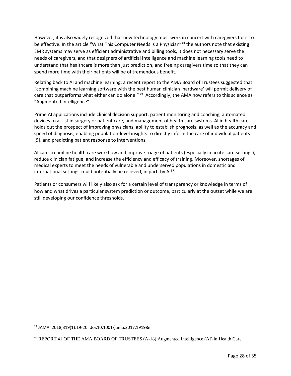However, it is also widely recognized that new technology must work in concert with caregivers for it to be effective. In the article "What This Computer Needs Is a Physician"<sup>28</sup> the authors note that existing EMR systems may serve as efficient administrative and billing tools, it does not necessary serve the needs of caregivers, and that designers of artificial intelligence and machine learning tools need to understand that healthcare is more than just prediction, and freeing caregivers time so that they can spend more time with their patients will be of tremendous benefit.

Relating back to AI and machine learning, a recent report to the AMA Board of Trustees suggested that "combining machine learning software with the best human clinician 'hardware' will permit delivery of care that outperforms what either can do alone."<sup>29</sup> Accordingly, the AMA now refers to this science as "Augmented Intelligence".

Prime AI applications include clinical decision support, patient monitoring and coaching, automated devices to assist in surgery or patient care, and management of health care systems. AI in health care holds out the prospect of improving physicians' ability to establish prognosis, as well as the accuracy and speed of diagnosis, enabling population-level insights to directly inform the care of individual patients [9], and predicting patient response to interventions.

AI can streamline health care workflow and improve triage of patients (especially in acute care settings), reduce clinician fatigue, and increase the efficiency and efficacy of training. Moreover, shortages of medical experts to meet the needs of vulnerable and underserved populations in domestic and international settings could potentially be relieved, in part, by Al<sup>37</sup>.

Patients or consumers will likely also ask for a certain level of transparency or knowledge in terms of how and what drives a particular system prediction or outcome, particularly at the outset while we are still developing our confidence thresholds.

 $\overline{a}$ 

<sup>28</sup> JAMA. 2018;319(1):19-20. doi:10.1001/jama.2017.19198e

<sup>29</sup> REPORT 41 OF THE AMA BOARD OF TRUSTEES (A-18) Augmented Intelligence (AI) in Health Care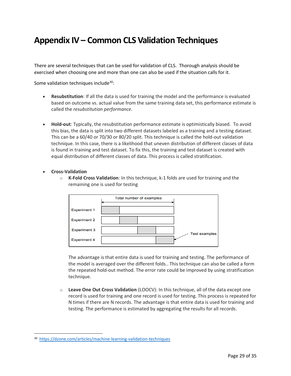## **Appendix IV – Common CLS Validation Techniques**

There are several techniques that can be used for validation of CLS. Thorough analysis should be exercised when choosing one and more than one can also be used if the situation calls for it.

Some validation techniques include<sup>30</sup>:

- **Resubstitution**: If all the data is used for training the model and the performance is evaluated based on outcome vs. actual value from the same training data set, this performance estimate is called the *resubstitution performance*.
- **Hold-out**: Typically, the resubstitution performance estimate is optimistically biased. To avoid this bias, the data is split into two different datasets labeled as a training and a testing dataset. This can be a 60/40 or 70/30 or 80/20 split. This technique is called the hold-out validation technique. In this case, there is a likelihood that uneven distribution of different classes of data is found in training and test dataset. To fix this, the training and test dataset is created with equal distribution of different classes of data. This process is called stratification.
- **Cross-Validation**

l

o **K-Fold Cross Validation**: In this technique, k-1 folds are used for training and the remaining one is used for testing

|                     | Total number of examples |                      |
|---------------------|--------------------------|----------------------|
| <b>Experiment 1</b> |                          |                      |
| <b>Experiment 2</b> |                          |                      |
| <b>Experiment 3</b> |                          | <b>Test examples</b> |
| <b>Experiment 4</b> |                          |                      |

The advantage is that entire data is used for training and testing. The performance of the model is averaged over the different folds.. This technique can also be called a form the repeated hold-out method. The error rate could be improved by using stratification technique.

o **Leave One Out Cross Validation** (LOOCV): In this technique, all of the data except one record is used for training and one record is used for testing. This process is repeated for N times if there are N records. The advantage is that entire data is used for training and testing. The performance is estimated by aggregating the results for all records.

<sup>30</sup> <https://dzone.com/articles/machine-learning-validation-techniques>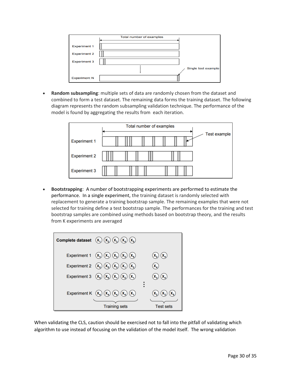|                     | Total number of examples |
|---------------------|--------------------------|
| <b>Experiment 1</b> |                          |
| <b>Experiment 2</b> |                          |
| <b>Experiment 3</b> |                          |
|                     | Single test example      |
| <b>Experiment N</b> |                          |

• **Random subsampling**: multiple sets of data are randomly chosen from the dataset and combined to form a test dataset. The remaining data forms the training dataset. The following diagram represents the random subsampling validation technique. The performance of the model is found by aggregating the results from each iteration.



• **Bootstrapping**: A number of bootstrapping experiments are performed to estimate the performance. In a single experiment, the training dataset is randomly selected with replacement to generate a training bootstrap sample. The remaining examples that were not selected for training define a test bootstrap sample. The performances for the training and test bootstrap samples are combined using methods based on bootstrap theory, and the results from K experiments are averaged

| Complete dataset $(x_1)(x_2)(x_3)(x_4)(x_5)$                                              |                                    |
|-------------------------------------------------------------------------------------------|------------------------------------|
| Experiment 1 $(x_3)(x_1)(x_3)(x_3)(x_5)$                                                  | $(\mathbf{x}_4)$                   |
| Experiment 2 $(x_5)(x_5)(x_3)(x_1)(x_2)$                                                  | X <sub>4</sub>                     |
| Experiment 3 $(x_s)(x_s)(x_t)(x_2)(x_t)$                                                  | $(\mathbf{x}_4)$<br>$\mathsf{X}_3$ |
| Experiment K $(\mathbf{x}_4) (\mathbf{x}_4) (\mathbf{x}_4) (\mathbf{x}_4) (\mathbf{x}_1)$ |                                    |
| <b>Training sets</b>                                                                      | <b>Test sets</b>                   |

When validating the CLS, caution should be exercised not to fall into the pitfall of validating which algorithm to use instead of focusing on the validation of the model itself. The wrong validation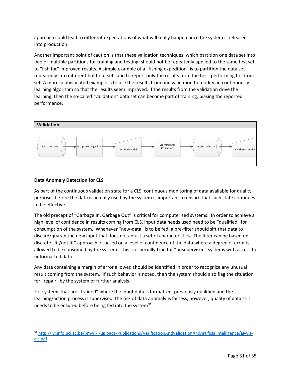approach could lead to different expectations of what will really happen once the system is released into production.

Another important point of caution is that these validation techniques, which partition one data set into two or multiple partitions for training and testing, should not be repeatedly applied to the same test set to "fish for" improved results. A simple example of a "fishing expedition" is to partition the data set repeatedly into different hold-out sets and to report only the results from the best-performing hold-out set. A more sophisticated example is to use the results from one validation to modify an continuouslylearning algorithm so that the results seem improved. If the results from the validation drive the learning, then the so-called "validation" data set can become part of training, biasing the reported performance.



### **Data Anomaly Detection for CLS**

 $\overline{a}$ 

As part of the continuous validation state for a CLS, continuous monitoring of data available for quality purposes before the data is actually used by the system is important to ensure that such state continues to be effective.

The old precept of "Garbage In, Garbage Out" is critical for computerized systems. In order to achieve a high level of confidence in results coming from CLS, input data needs used need to be "qualified" for consumption of the system. Whenever "new-data" is to be fed, a pre-filter should sift that data to discard/quarantine new input that does not adjust a set of characteristics. The filter can be based on discrete "fit/not fit" approach or based on a level of confidence of the data where a degree of error is allowed to be consumed by the system. This is especially true for "unsupervised" systems with access to unformatted data.

Any data containing a margin of error allowed should be identified in order to recognize any unusual result coming from the system. If such behavior is noted, then the system should also flag the situation for "repair" by the system or further analysis.

For systems that are "trained" where the input data is formatted, previously qualified and the learning/action process is supervised, the risk of data anomaly is far less, however, quality of data still needs to be ensured before being fed into the system<sup>31</sup>.

<sup>31</sup> [http://lvl.info.ucl.ac.be/pmwiki/uploads/Publications/VerificationAndValidationAndArtificialIntelligence/aivvis](http://lvl.info.ucl.ac.be/pmwiki/uploads/Publications/VerificationAndValidationAndArtificialIntelligence/aivvis-aic.pdf)[aic.pdf](http://lvl.info.ucl.ac.be/pmwiki/uploads/Publications/VerificationAndValidationAndArtificialIntelligence/aivvis-aic.pdf)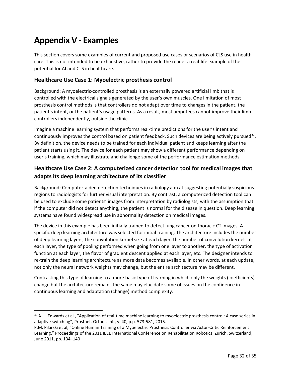## **Appendix V - Examples**

 $\overline{\phantom{0}}$ 

This section covers some examples of current and proposed use cases or scenarios of CLS use in health care. This is not intended to be exhaustive, rather to provide the reader a real-life example of the potential for AI and CLS in healthcare.

## **Healthcare Use Case 1: Myoelectric prosthesis control**

Background: A myoelectric-controlled prosthesis is an externally powered artificial limb that is controlled with the electrical signals generated by the user's own muscles. One limitation of most prosthesis control methods is that controllers do not adapt over time to changes in the patient, the patient's intent, or the patient's usage patterns. As a result, most amputees cannot improve their limb controllers independently, outside the clinic.

Imagine a machine learning system that performs real-time predictions for the user's intent and continuously improves the control based on patient feedback. Such devices are being actively pursued<sup>32</sup>. By definition, the device needs to be trained for each individual patient and keeps learning after the patient starts using it. The device for each patient may show a different performance depending on user's training, which may illustrate and challenge some of the performance estimation methods.

## **Healthcare Use Case 2: A computerized cancer detection tool for medical images that adapts its deep learning architecture of its classifier**

Background: Computer-aided detection techniques in radiology aim at suggesting potentially suspicious regions to radiologists for further visual interpretation. By contrast, a computerized detection tool can be used to exclude some patients' images from interpretation by radiologists, with the assumption that if the computer did not detect anything, the patient is normal for the disease in question. Deep learning systems have found widespread use in abnormality detection on medical images.

The device in this example has been initially trained to detect lung cancer on thoracic CT images. A specific deep learning architecture was selected for initial training. The architecture includes the number of deep learning layers, the convolution kernel size at each layer, the number of convolution kernels at each layer, the type of pooling performed when going from one layer to another, the type of activation function at each layer, the flavor of gradient descent applied at each layer, etc. The designer intends to re-train the deep learning architecture as more data becomes available. In other words, at each update, not only the neural network weights may change, but the entire architecture may be different.

Contrasting this type of learning to a more basic type of learning in which only the weights (coefficients) change but the architecture remains the same may elucidate some of issues on the confidence in continuous learning and adaptation (change) method complexity.

 $32$  A. L. Edwards et al., "Application of real-time machine learning to myoelectric prosthesis control: A case series in adaptive switching", Prosthet. Orthot. Int., v. 40, p.p. 573-581, 2015.

P.M. Pilarski et al, "Online Human Training of a Myoelectric Prosthesis Controller via Actor-Critic Reinforcement Learning," Proceedings of the 2011 IEEE International Conference on Rehabilitation Robotics, Zurich, Switzerland, June 2011, pp. 134–140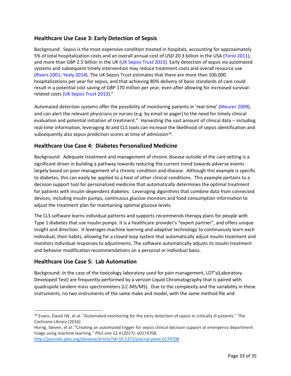## **Healthcare Use Case 3: Early Detection of Sepsis**

Background: Sepsis is the most expensive condition treated in hospitals, accounting for approximately 5% of total hospitalization costs and an overall annual cost of USD 20.3 billion in the USA (Torio 2011), and more than GBP 2.5 billion in the UK (UK Sepsis Trust 2013). Early detection of sepsis via automated systems and subsequent timely intervention may reduce treatment costs and overall resource use (Rivers 2001; Yealy 2014). The UK Sepsis Trust estimates that there are more than 100,000 hospitalizations per year for sepsis, and that achieving 80% delivery of basic standards of care could result in a potential cost saving of GBP 170 million per year, even after allowing for increased survivalrelated costs (UK Sepsis Trust 2013)."

Automated detection systems offer the possibility of monitoring patients in 'real-time' (Meurer 2009), and can alert the relevant physicians or nurses (e.g. by email or pager) to the need for timely clinical evaluation and potential initiation of treatment." Harvesting the vast amount of clinical data – including real-time information, leveraging AI and CLS tools can increase the likelihood of sepsis identification and subsequently also sepsis prediction scores at time of admission<sup>33</sup>.

## **Healthcare Use Case 4: Diabetes Personalized Medicine**

Background: Adequate treatment and management of chronic disease outside of the care setting is a significant driver in building a pathway towards reducing the current trend towards adverse events largely based on poor management of a chronic condition and disease. Although this example is specific to diabetes, this can easily be applied to a host of other clinical conditions. This example pertains to a decision support tool for personalized medicine that automatically determines the optimal treatment for patients with insulin-dependent diabetes. Leveraging algorithms that combine data from connected devices, including insulin pumps, continuous glucose monitors and food consumption information to adjust the treatment plan for maintaining optimal glucose levels.

The CLS software learns individual patterns and supports recommends therapy plans for people with Type 1 diabetes that use insulin pumps. It is a healthcare provider's "expert partner", and offers unique insight and direction. It leverages machine learning and adaptive technology to continuously learn each individual, their habits, allowing for a closed loop system that automatically adjust insulin treatment and monitors individual responses to adjustments. The software automatically adjusts its insulin treatment and behavior modification recommendations on a personal or individual basis.

### **Healthcare Use Case 5: Lab Automation**

 $\overline{\phantom{0}}$ 

Background: In the case of the toxicology laboratory used for pain management, LDT's(Laboratory Developed Test) are frequently performed by a version Liquid Chromatography that is paired with quadrupole tandem mass spectrometers (LC-MS/MS). Due to the complexity and the variability in these instruments, no two instruments of the same make and model, with the same method file and

<sup>33</sup> Evans, David JW, et al. "Automated monitoring for the early detection of sepsis in critically ill patients." The Cochrane Library (2016).

Horng, Steven, et al. "Creating an automated trigger for sepsis clinical decision support at emergency department triage using machine learning." *PloS one* 12.4 (2017): e0174708.

<http://journals.plos.org/plosone/article?id=10.1371/journal.pone.0174708>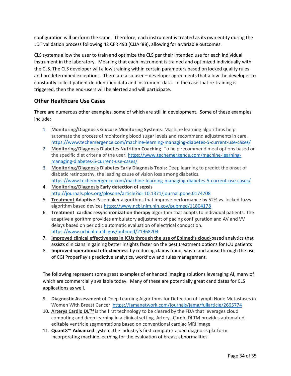configuration will perform the same. Therefore, each instrument is treated as its own entity during the LDT validation process following 42 CFR 493 (CLIA '88), allowing for a variable outcomes.

CLS systems allow the user to train and optimize the CLS per their intended use for each individual instrument in the laboratory. Meaning that each instrument is trained and optimized individually with the CLS. The CLS developer will allow training within certain parameters based on locked quality rules and predetermined exceptions. There are also user – developer agreements that allow the developer to constantly collect patient de-identified data and instrument data. In the case that re-training is triggered, then the end-users will be alerted and will participate.

## **Other Healthcare Use Cases**

There are numerous other examples, some of which are still in development. Some of these examples include:

- 1. **Monitoring/Diagnosis Glucose Monitoring Systems**: Machine learning algorithms help automate the process of monitoring blood sugar levels and recommend adjustments in care. <https://www.techemergence.com/machine-learning-managing-diabetes-5-current-use-cases/>
- 2. **Monitoring/Diagnosis Diabetes Nutrition Coaching**: To help recommend meal options based on the specific diet criteria of the user. [https://www.techemergence.com/machine-learning](https://www.techemergence.com/machine-learning-managing-diabetes-5-current-use-cases/)[managing-diabetes-5-current-use-cases/](https://www.techemergence.com/machine-learning-managing-diabetes-5-current-use-cases/)
- 3. **Monitoring/Diagnosis Diabetes Early Diagnosis Tools:** Deep learning to predict the onset of diabetic retinopathy, the leading cause of vision loss among diabetics. <https://www.techemergence.com/machine-learning-managing-diabetes-5-current-use-cases/>
- 4. **Monitoring/Diagnosis Early detection of sepsis** <http://journals.plos.org/plosone/article?id=10.1371/journal.pone.0174708>
- 5. **Treatment Adaptive** Pacemaker algorithms that improve performance by 52% vs. locked fuzzy algorithm based devices <https://www.ncbi.nlm.nih.gov/pubmed/11804178>
- 6. **Treatment cardiac resynchronization therapy** algorithm that adapts to individual patients. The adaptive algorithm provides ambulatory adjustment of pacing configuration and AV and VV delays based on periodic automatic evaluation of electrical conduction. <https://www.ncbi.nlm.nih.gov/pubmed/21968204>
- 7. **Improved clinical effectiveness in ICUs through the use of Epimed's cloud-**based analytics that assists clinicians in gaining better insights faster on the best treatment options for ICU patients
- 8. **Improved operational effectiveness** by reducing claims fraud, waste and abuse through the use of CGI ProperPay's predictive analytics, workflow and rules management.

The following represent some great examples of enhanced imaging solutions leveraging AI, many of which are commercially available today. Many of these are potentially great candidates for CLS applications as well.

- 9. **Diagnostic Assessment** of Deep Learning Algorithms for Detection of Lymph Node Metastases in Women With Breast Cancer <https://jamanetwork.com/journals/jama/fullarticle/2665774>
- 10. **Arterys Cardio DLTM** is the first technology to be cleared by the FDA that leverages cloud computing and deep learning in a clinical setting. Arterys Cardio DLTM provides automated, editable ventricle segmentations based on conventional cardiac MRI image
- 11. **QuantX™ Advanced** system, the industry's first computer-aided diagnosis platform incorporating machine learning for the evaluation of breast abnormalities